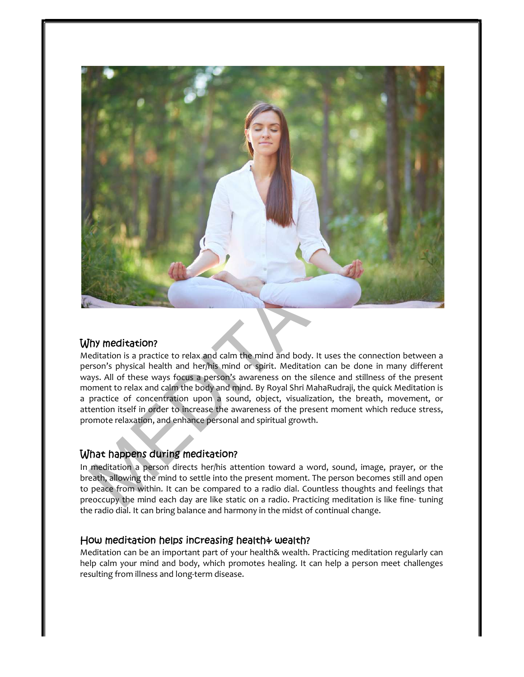

# Why meditation?

Meditation is a practice to relax and calm the mind and body. It uses the connection between a person's physical health and her/his mind or spirit. Meditation can be done in many different ways. All of these ways focus a person's awareness on the silence and stillness of the present moment to relax and calm the body and mind. By Royal Shri MahaRudraji, the quick Meditation is a practice of concentration upon a sound, object, visualization, the breath, movement, or attention itself in order to increase the awareness of the present moment which reduce stress, promote relaxation, and enhance personal and spiritual growth.

## What happens during meditation?

In meditation a person directs her/his attention toward a word, sound, image, prayer, or the breath, allowing the mind to settle into the present moment. The person becomes still and open to peace from within. It can be compared to a radio dial. Countless thoughts and feelings that preoccupy the mind each day are like static on a radio. Practicing meditation is like fine- tuning the radio dial. It can bring balance and harmony in the midst of continual change.

## How meditation helps increasing health?

Meditation can be an important part of your health& wealth. Practicing meditation regularly can help calm your mind and body, which promotes healing. It can help a person meet challenges resulting from illness and long-term disease.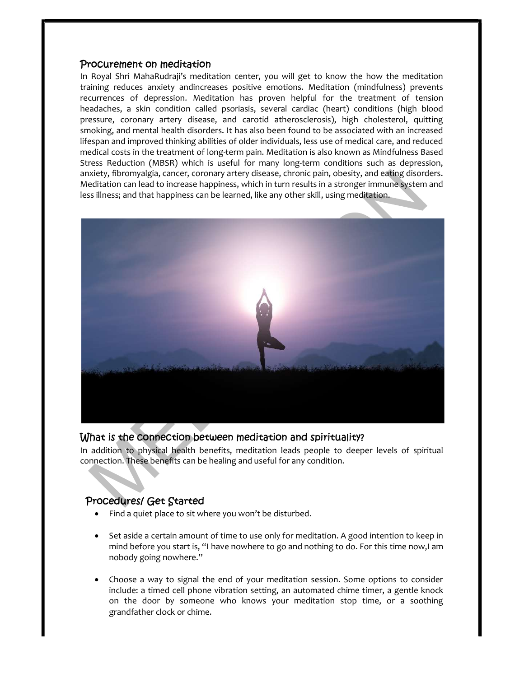### Procurement on meditation

In Royal Shri MahaRudraji's meditation center, you will get to know the how the meditation training reduces anxiety andincreases positive emotions. Meditation (mindfulness) prevents recurrences of depression. Meditation has proven helpful for the treatment of tension headaches, a skin condition called psoriasis, several cardiac (heart) conditions (high blood pressure, coronary artery disease, and carotid atherosclerosis), high cholesterol, quitting smoking, and mental health disorders. It has also been found to be associated with an increased lifespan and improved thinking abilities of older individuals, less use of medical care, and reduced medical costs in the treatment of long-term pain. Meditation is also known as Mindfulness Based Stress Reduction (MBSR) which is useful for many long-term conditions such as depression, anxiety, fibromyalgia, cancer, coronary artery disease, chronic pain, obesity, and eating disorders. Meditation can lead to increase happiness, which in turn results in a stronger immune system and less illness; and that happiness can be learned, like any other skill, using meditation.



### What is the connection between meditation and spirituality?

In addition to physical health benefits, meditation leads people to deeper levels of spiritual connection. These benefits can be healing and useful for any condition.

## Procedures/ Get Started

- Find a quiet place to sit where you won't be disturbed.
- Set aside a certain amount of time to use only for meditation. A good intention to keep in mind before you start is, "I have nowhere to go and nothing to do. For this time now,I am nobody going nowhere."
- Choose a way to signal the end of your meditation session. Some options to consider include: a timed cell phone vibration setting, an automated chime timer, a gentle knock on the door by someone who knows your meditation stop time, or a soothing grandfather clock or chime.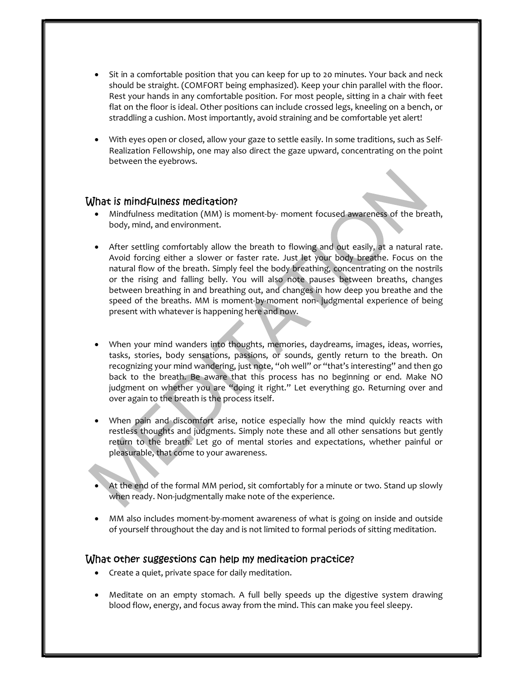- Sit in a comfortable position that you can keep for up to 20 minutes. Your back and neck should be straight. (COMFORT being emphasized). Keep your chin parallel with the floor. Rest your hands in any comfortable position. For most people, sitting in a chair with feet flat on the floor is ideal. Other positions can include crossed legs, kneeling on a bench, or straddling a cushion. Most importantly, avoid straining and be comfortable yet alert!
- With eyes open or closed, allow your gaze to settle easily. In some traditions, such as Self-Realization Fellowship, one may also direct the gaze upward, concentrating on the point between the eyebrows.

### What is mindfulness meditation?

- Mindfulness meditation (MM) is moment-by- moment focused awareness of the breath, body, mind, and environment.
- After settling comfortably allow the breath to flowing and out easily, at a natural rate. Avoid forcing either a slower or faster rate. Just let your body breathe. Focus on the natural flow of the breath. Simply feel the body breathing, concentrating on the nostrils or the rising and falling belly. You will also note pauses between breaths, changes between breathing in and breathing out, and changes in how deep you breathe and the speed of the breaths. MM is moment-by-moment non- judgmental experience of being present with whatever is happening here and now.
- When your mind wanders into thoughts, memories, daydreams, images, ideas, worries, tasks, stories, body sensations, passions, or sounds, gently return to the breath. On recognizing your mind wandering, just note, "oh well" or "that's interesting" and then go back to the breath. Be aware that this process has no beginning or end. Make NO judgment on whether you are "doing it right." Let everything go. Returning over and over again to the breath is the process itself.
- When pain and discomfort arise, notice especially how the mind quickly reacts with restless thoughts and judgments. Simply note these and all other sensations but gently return to the breath. Let go of mental stories and expectations, whether painful or pleasurable, that come to your awareness.
- At the end of the formal MM period, sit comfortably for a minute or two. Stand up slowly when ready. Non-judgmentally make note of the experience.
- MM also includes moment-by-moment awareness of what is going on inside and outside of yourself throughout the day and is not limited to formal periods of sitting meditation.

#### What other suggestions can help my meditation practice?

- Create a quiet, private space for daily meditation.
- Meditate on an empty stomach. A full belly speeds up the digestive system drawing blood flow, energy, and focus away from the mind. This can make you feel sleepy.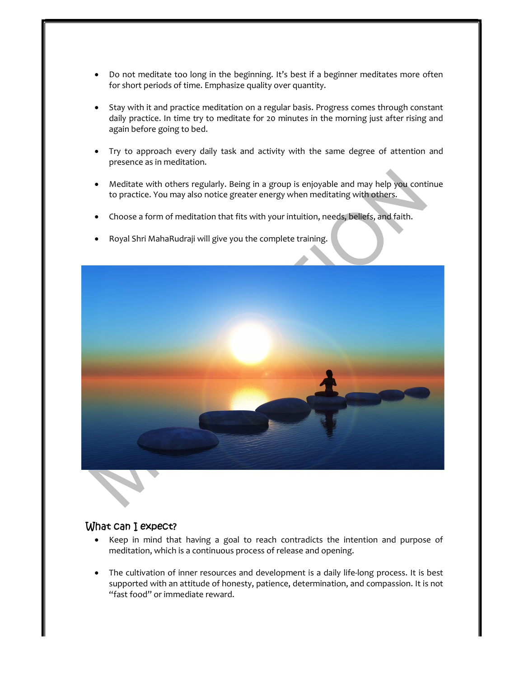- Do not meditate too long in the beginning. It's best if a beginner meditates more often for short periods of time. Emphasize quality over quantity.
- Stay with it and practice meditation on a regular basis. Progress comes through constant daily practice. In time try to meditate for 20 minutes in the morning just after rising and again before going to bed.
- Try to approach every daily task and activity with the same degree of attention and presence as in meditation.
- Meditate with others regularly. Being in a group is enjoyable and may help you continue to practice. You may also notice greater energy when meditating with others.
- Choose a form of meditation that fits with your intuition, needs, beliefs, and faith.
- Royal Shri MahaRudraji will give you the complete training.



### What can I expect?

- Keep in mind that having a goal to reach contradicts the intention and purpose of meditation, which is a continuous process of release and opening.
- The cultivation of inner resources and development is a daily life-long process. It is best supported with an attitude of honesty, patience, determination, and compassion. It is not "fast food" or immediate reward.